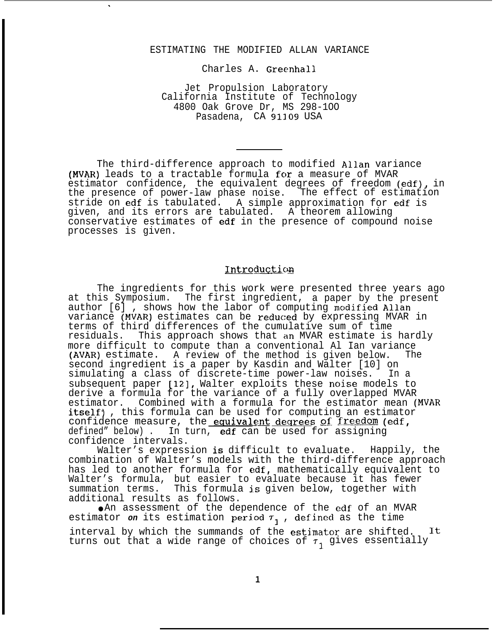#### ESTIMATING THE MODIFIED ALLAN VARIANCE

.

Charles A. Greenhall

Jet Propulsion Laboratory California Institute of Technology 4800 Oak Grove Dr, MS 298-1OO Pasadena, CA 91109 USA

The third-difference approach to modified Allan variance (MVAR) leads to a tractable formula for a measure of MVAR estimator confidence, the equivalent degrees of freedom (edf), in the presence of power-law phase noise. The effect of estimation stride on edf is tabulated. A simple approximation for edf is given, and its errors are tabulated. A theorem allowing conservative estimates of edf in the presence of compound noise processes is given.

# Introduction

The ingredients for this work were presented three years ago at this Symposium. The first ingredient, a paper by the present author  $[6]$  , shows how the labor of computing modified Allan variance (MVAR) estimates can be reduced by expressing MVAR in terms of third differences of the cumulative sum of time residuals. This approach shows that an MVAR estimate is hardly more difficult to compute than a conventional Al Ian variance (AVAR) estimate. A review of the method is given below. The second ingredient is a paper by Kasdin and Walter [10] on simulating a class of discrete-time power-law noises. In a subsequent paper [12], Walter exploits these noise models to derive a formula for the variance of a fully overlapped MVAR estimator. Combined with a formula for the estimator mean (MVAR itself), this formula can be used for computing an estimator confidence measure, the equivalent degrees of freedom (edf, defined" below). In turn, edf can be used for assigning confidence intervals.

Walter's expression is difficult to evaluate. Happily, the combination of Walter's models with the third-difference approach has led to another formula for edf, mathematically equivalent to Walter's formula, but easier to evaluate because it has fewer summation terms. This formula is given below, together with additional results as follows.

● An assessment of the dependence of the edf of an MVAR estimator on its estimation period  $\tau_{1}$ , defined as the time interval by which the summands of the estimator are shifted. It turns out that a wide range of choices of  $\tau_1$  gives essentially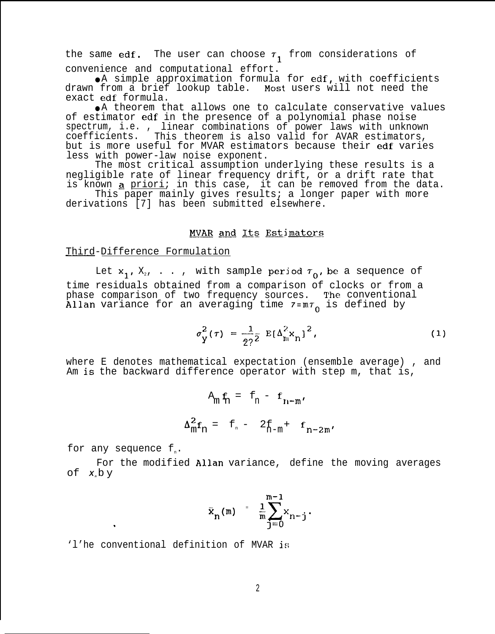the same edf. The user can choose  $\tau_1$  from considerations of convenience and computational effort.

● A simple approximation formula for edf, with coefficients drawn from a brief lookup table. Most users will not need the exact edf formula.

● A theorem that allows one to calculate conservative values of estimator edf in the presence of a polynomial phase noise spectrum, i.e. , linear combinations of power laws with unknown coefficients. This theorem is also valid for AVAR estimators, but is more useful for MVAR estimators because their edf varies less with power-law noise exponent.

The most critical assumption underlying these results is a negligible rate of linear frequency drift, or a drift rate that is known a priori; in this case, it can be removed from the data.

This paper mainly gives results; a longer paper with more derivations [7] has been submitted elsewhere.

## MVAR and Its Estimators

## Third-Difference Formulation

Let  $x_1$ ,  $X_2$ , . . , with sample period  $\tau_0$ , be a sequence of time residuals obtained from a comparison of clocks or from a phase comparison of two frequency sources. The conventional Allan variance for an averaging time  $7 = m_0$  is defined by

$$
\sigma_{\rm y}^2(\tau) = \frac{1}{2^2} \, \rm E \left[ \Delta_{\rm n}^2 x_{\rm n} \right]^2, \tag{1}
$$

where E denotes mathematical expectation (ensemble average) , and Am is the backward difference operator with step m, that is,

$$
A_{m} \mathbf{f}_{n} = \mathbf{f}_{n} - \mathbf{f}_{n-m'}
$$

$$
\Delta_{m}^{2} \mathbf{f}_{n} = \mathbf{f}_{n} - 2\mathbf{f}_{n-m} + \mathbf{f}_{n-2m'}
$$

for any sequence  $f_n$ .

.

For the modified Allan variance, define the moving averages of  $x$ <sub>*n*</sub> $b$  y

$$
\bar{x}_n(m) = \frac{1}{m} \sum_{j=0}^{m-1} x_{n-j}.
$$

'l'he conventional definition of MVAR is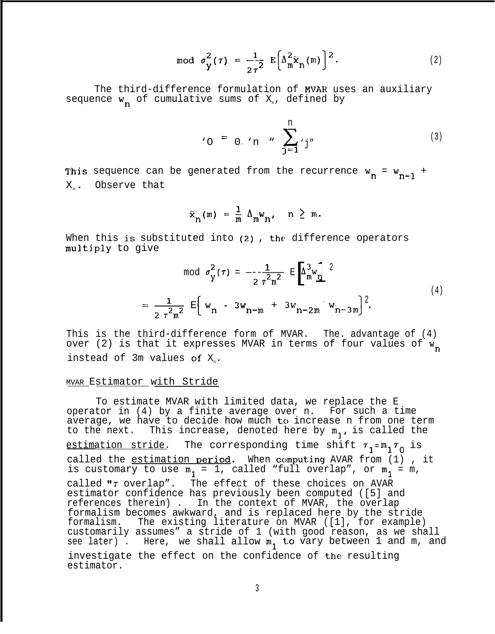$$
\text{mod} \ \sigma_{\mathbf{y}}^2(\tau) = \frac{1}{2\tau^2} \ \mathbb{E}\bigg[\Delta_{\mathbf{m}}^2 \bar{\mathbf{x}}_{\mathbf{n}}(\mathbf{m})\bigg]^2. \tag{2}
$$

The third-difference formulation of MVAR uses an auxiliary sequence  $w_n$  of cumulative sums of  $X_n$ , defined by

$$
v_0 = 0, v_0 = \sum_{j=1}^{n} v_j
$$
 (3)

This sequence can be generated from the recurrence  $w_n = w_{n-1}$  +  $X_n$ . Observe that

$$
\bar{x}_{n}(m) = \frac{1}{m} \Delta_{m} w_{n}, \quad n \geq m.
$$

When this is substituted into (2), the difference operators multjply to give

$$
\text{mod } \sigma_{\text{Y}}^{2}(\tau) = -\frac{1}{2 \tau^{2} \text{m}^{2}} \text{ E} \left[ \Delta_{\text{m}}^{3} \text{w}_{\text{D}} \right]^{2}
$$
\n
$$
= \frac{1}{2 \tau^{2} \text{m}^{2}} \text{ E} \left[ \text{ w}_{\text{D}} - 3 \text{w}_{\text{D}-\text{m}} + 3 \text{w}_{\text{D}-2\text{m}} \text{ w}_{\text{D}-3\text{m}} \right]^{2}.
$$
\n(4)

This is the third-difference form of MVAR. The. advantage of (4) over (2) is that it expresses MVAR in terms of four values of  $w_n$ instead of 3m values of  $X_n$ .

#### MVAR Estimator with Stride

To estimate MVAR with limited data, we replace the E operator in (4) by a finite average over n. For such a time average, we have to decide how much to increase n from one term to the next. This increase, denoted here by  $m_1$ , is called the estimation stride. The corresponding time shift  $\tau_1 = m_1 \tau_0$  is called the estimation period. When computing AVAR from (1) , it is customary to use  $m_1 = 1$ , called "full overlap", or  $m_1 = m$ , called " $\tau$  overlap". The effect of these choices on AVAR estimator confidence has previously been computed ([5] and references therein) . In the context of MVAR, the overlap formalism becomes awkward, and is replaced here by the stride formalism. The existing literature on MVAR ([1], for example) customarily assumes" a stride of 1 (with good reason, as we shall see later) . Here, we shall allow  $m_1$  to vary between 1 and m, and investigate the effect on the confidence of the resulting estimator.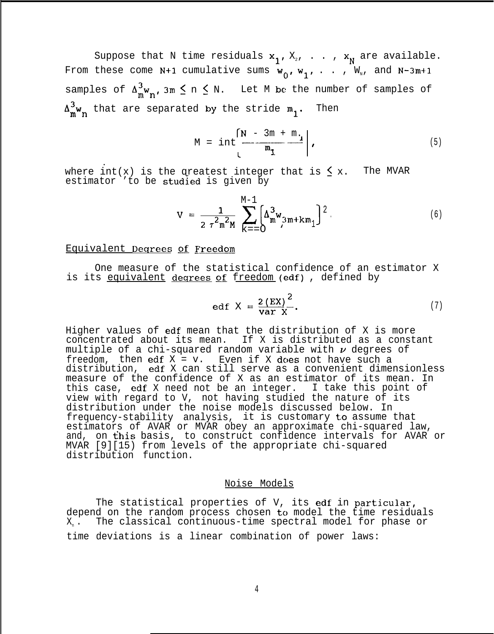Suppose that N time residuals  $x_1, X_2, \ldots, x_N$  are available. From these come N+1 cumulative sums  $w_0, w_1, \ldots, w_n$ , and N-3m+1 samples of  $\Delta_{m}^{3}w_{n}$ , 3m  $\leq$  n  $\leq$  N. Let M be the number of samples of  $\Delta_{\mathbf{w}_{\mathbf{n}}}^3$  that are separated by the stride  $\mathfrak{m}_{\mathbf{n}}$ . Then

$$
M = int \left[\frac{N - 3m + m_i}{m_i}\right], \qquad (5)
$$

where int(x) is the qreatest integer that is  $\leq x$ . The MVAR estimator 'to be studied is given by

$$
V = \frac{1}{2 \tau^{2} m^{2} M} \sum_{K=-O}^{M-1} \left[ \Delta_{m}^{3} w_{3m+Km} \right]^{2}.
$$
 (6)

# Equivalent Deqrees of Freedom

One measure of the statistical confidence of an estimator X is its equivalent degrees of freedom (edf), defined by

$$
edf X = \frac{2 (EX)^2}{var X}.
$$
 (7)

Higher values of edf mean that the distribution of X is more concentrated about its mean. If X is distributed as a constant multiple of a chi-squared random variable with  $\nu$  degrees of freedom, then edf  $X = v$ . Even if X does not have such a distribution, edf X can still serve as a convenient dimensionless measure of the confidence of X as an estimator of its mean. In this case, edf X need not be an integer. I take this point of view with regard to V, not having studied the nature of its distribution under the noise models discussed below. In frequency-stability analysis, it is customary to assume that estimators of AVAR or MVAR obey an approximate chi-squared law, and, on this basis, to construct confidence intervals for AVAR or MVAR [9][15) from levels of the appropriate chi-squared distribution function.

# Noise Models

The statistical properties of V, its edf in particular, depend on the random process chosen to model the time residuals X<sub>n</sub>. The classical continuous-time spectral model for phase or time deviations is a linear combination of power laws: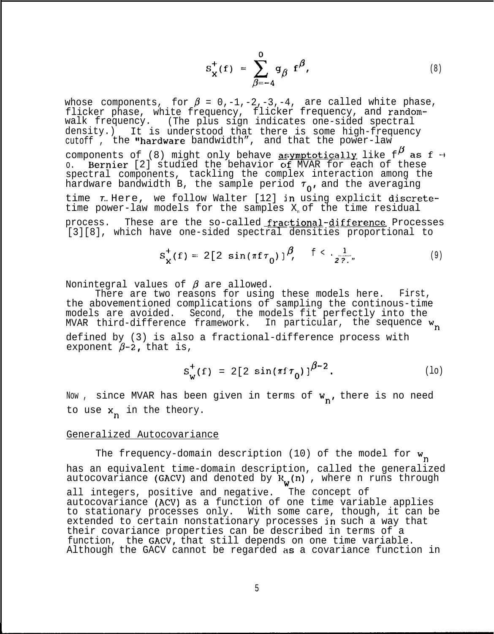$$
S_{\mathbf{x}}^{+}(f) = \sum_{\beta=-4}^{0} g_{\beta} f^{\beta}, \qquad (8)
$$

whose components, for  $\beta = 0,-1,-2,-3,-4$ , are called white phase, flicker phase, white frequency, flicker frequency, and randomwalk frequency. (The plus sign indicates one-sided spectral density.) It is understood that there is some high-frequency cutoff, the "hardware bandwidth", and that the power-law components of (8) might only behave  $_{\textrm{\textbf{asymptotically}}}$  like  $\texttt{f}^{\boldsymbol{\beta}}$  as  $\texttt{f}$  + o. Bernier [2] studied the behavior of MVAR for each of these spectral components, tackling the complex interaction among the hardware bandwidth B, the sample period  $\tau_{0}$ , and the averaging time **T..** Here, we follow Walter [12] in using explicit discretetime power-law models for the samples  $X_{n}$  of the time residual process. These are the so-called fractional-difference Processes [3][8], which have one-sided spectral densities proportional to

$$
S_{\mathbf{X}}^{+}(f) = 2[2 \sin(\pi f \tau_{0})]^{\beta}, \quad f < \frac{1}{27}.
$$
 (9)

Nonintegral values of  $\beta$  are allowed.

There are two reasons for using these models here. First, the abovementioned complications of sampling the continous-time models are avoided. Second, the models fit perfectly into the MVAR third-difference framework. In particular, the sequence  $w_n$ defined by (3) is also a fractional-difference process with exponent  $\beta$ -2, that is,

$$
s_w^+(f) = 2[2 \sin(\pi f \tau_0)]^{\beta - 2}.
$$
 (10)

Now, since MVAR has been given in terms of  $w_n$ , there is no need to use  $x_n$  in the theory.

#### Generalized Autocovariance

The frequency-domain description (10) of the model for  $w_n$ has an equivalent time-domain description, called the generalized autocovariance (GACV) and denoted by  $R_w(n)$  , where n runs through all integers, positive and negative. The concept of autocovariance (ACV) as a function of one time variable applies to stationary processes only. With some care, though, it can be extended to certain nonstationary processes in such a way that their covariance properties can be described in terms of a function, the GACV, that still depends on one time variable. Although the GACV cannot be regarded as a covariance function in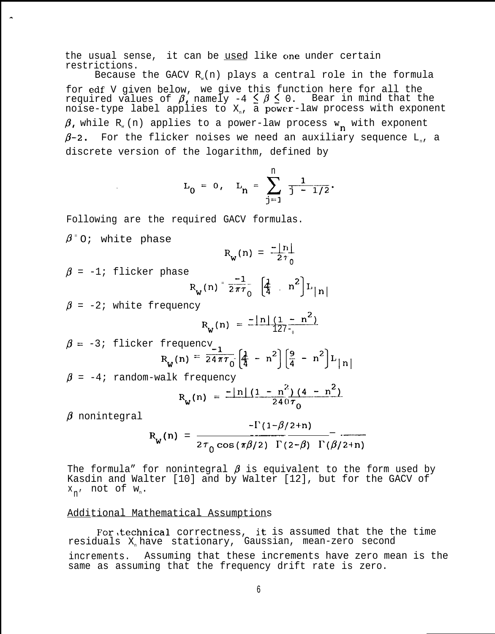the usual sense, it can be used like one under certain restrictions.

Because the GACV  $R(x)$  plays a central role in the formula for edf V given below, we give this function here for all the required values of  $\beta$ , namely -4  $\leq \beta \leq$  0. Bear in mind that the noise-type label applies to  $\textnormal{X}_\textnormal{n}$ , a power-law process with exponent  $\beta$ , while R<sub>w</sub> (n) applies to a power-law process w<sub>n</sub> with exponent  $\beta$ -2. For the flicker noises we need an auxiliary sequence L<sub>n</sub>, a discrete version of the logarithm, defined by

$$
L_0 = 0
$$
,  $L_n = \sum_{j=1}^n \frac{1}{j-1/2}$ .

Following are the required GACV formulas.

 $\beta$   $\circ$ ; white phase

,.

$$
R_{w}(n) = \frac{-\lfloor n \rfloor}{2\tau_{0}}
$$

 $\beta$  = -1; flicker phase

$$
R_{w}(n) = \frac{-1}{2\pi\tau_{0}} \left[ \frac{1}{4} - n^{2} \right] L_{|n|}
$$

 $\beta$  = -2; white frequency

$$
R_{w}(n) = \frac{-\ln(1 - n^{2})}{127 - n}
$$

$$
\beta = -3; \text{ flicker frequency}_{w}(n) = \frac{1}{24\pi\tau_0} \left[ \frac{1}{4} - n^2 \right] \left[ \frac{9}{4} - n^2 \right] L_{|n|}
$$

 $\beta$  = -4; random-walk frequency

$$
R_w(n) = \frac{-|n|(1 - n^2)(4 - n^2)}{240\tau_0}
$$

 $\beta$  nonintegral

$$
R_{w}(n) = \frac{-\Gamma(1-\beta/2+n)}{2\tau_{0}\cos(\pi\beta/2)\Gamma(2-\beta)\Gamma(\beta/2+n)}
$$

The formula" for nonintegral  $\beta$  is equivalent to the form used by Kasdin and Walter [10] and by Walter [12], but for the GACV of  $x_{n'}$  not of  $w_{n}$ .

#### Additional Mathematical Assumptions

For, technical correctness, it is assumed that the the time residuals X have stationary, Gaussian, mean-zero second increments. Assuming that these increments have zero mean is the same as assuming that the frequency drift rate is zero.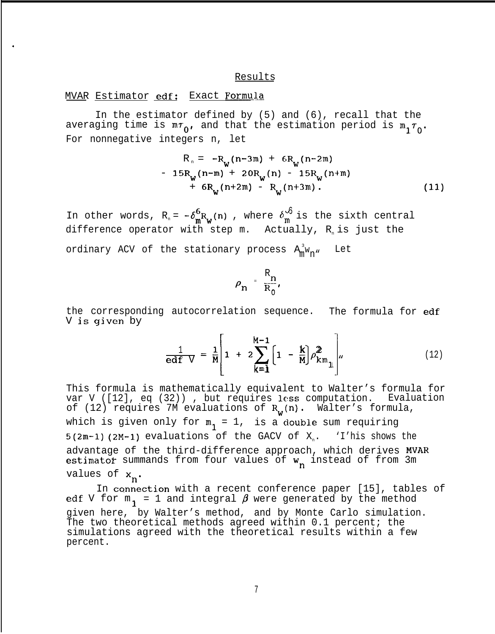#### Results

#### MVAR Estimator edf: Exact Formula

.

In the estimator defined by (5) and (6), recall that the averaging time is  $m_{0}$ , and that the estimation period is  $m_{1} \tau_{0}$ . For nonnegative integers n, let

$$
R_n = -R_W(n-3m) + 6R_W(n-2m)
$$
  
- 15R<sub>W</sub>(n-m) + 20R<sub>W</sub>(n) - 15R<sub>W</sub>(n+m)  
+ 6R<sub>W</sub>(n+2m) - R<sub>W</sub>(n+3m). (11)

In other words,  $R_n = -\delta_m^6 R_w(n)$  , where  $\delta_m^{\sqrt{5}}$  is the sixth central difference operator with step  $m$ . Actually,  $R_n$  is just the ordinary ACV of the stationary process  $A_m^\mathrm{3}{}^\mathrm{w}{}_{\mathrm{n}}$ " Let

$$
\rho_n = \frac{R_n}{R_0},
$$

the corresponding autocorrelation sequence. The formula for edf V is given by

$$
\frac{1}{\mathbf{edf}} = \frac{1}{M} \left[ 1 + 2 \sum_{k=1}^{M-1} \left[ 1 - \frac{k}{M} \right] \rho_{km}^2 \right], \tag{12}
$$

This formula is mathematically equivalent to Walter's formula for var V ([12], eq (32)) , but requires less computation. Evaluation of (12) requires 7M evaluations of  $R_{\alpha}$ (n). Walter's formula, which is given only for  $m_1 = 1$ , is a double sum requiring  $5(2m-1)$  (2M-1) evaluations of the GACV of X<sub>n</sub>. 'I'his shows the advantage of the third-difference approach, which derives MVAR estimator summands from four values of **w** instead of from 3m values of  $x_n$ .

In connection with a recent conference paper [15], tables of edf V for  $m_{\bf 1}$  = 1 and integral  $\pmb{\beta}$  were generated by the method given here, by Walter's method, and by Monte Carlo simulation. The two theoretical methods agreed within 0.1 percent; the simulations agreed with the theoretical results within a few percent.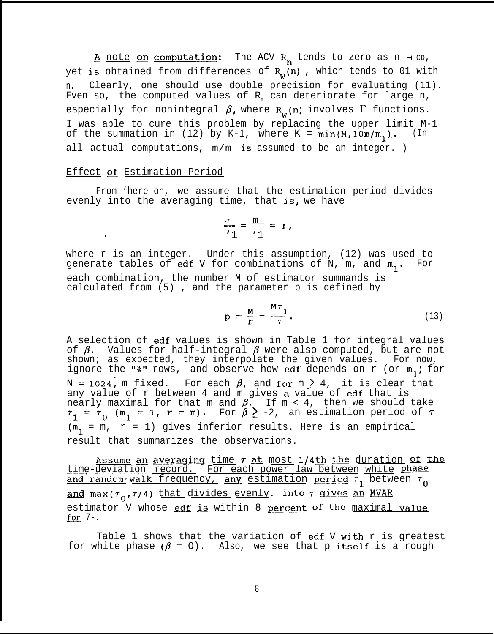A note on computation: The ACV R<sub>n</sub> tends to zero as n  $\rightarrow$  cD, yet is obtained from differences of  $R_{i,j}(n)$ , which tends to 01 with n. Clearly, one should use double precision for evaluating (11). Even so, the computed values of  $R_n$  can deteriorate for large n, especially for nonintegral  $\beta$ , where  $R_w(n)$  involves  $\Gamma$  functions. I was able to cure this problem by replacing the upper limit M-1 of the summation in (12) by K-1, where K =  $min(M,10m/m,1)$ . (In all actual computations,  $m/m$  is assumed to be an integer. )

## Effect of Estimation Period

.

From 'here on, we assume that the estimation period divides evenly into the averaging time, that  $is, we have$ 

$$
\frac{\tau}{1} = \frac{m}{1} = r,
$$

where r is an integer. Under this assumption, (12) was used to generate tables of edf V for combinations of N, m, and  $m_1$ . For each combination, the number M of estimator summands is calculated from (5) , and the parameter p is defined by

$$
p = \frac{M}{r} = \frac{MT_1}{\tau}.
$$
 (13)

A selection of edf values is shown in Table 1 for integral values of  $\beta.$  Values for half-integral  $\beta$  were also computed, but are not shown; as expected, they interpolate the given values. For now, ignore the "%" rows, and observe how edf depends on r (or  $m_1$ ) for N = 1024, m fixed. For each  $\beta$ , and for m  $\geq$  4, it is clear that any value of r between 4 and m gives a value of edf that is nearly maximal for that m and  $\beta.$  If m < 4, then we should take  $\tau_1 = \tau_0$  (m<sub>1</sub> = 1, r = m). For  $\beta \ge -2$ , an estimation period of  $\tau$  $(m_i = m, r = 1)$  gives inferior results. Here is an empirical result that summarizes the observations.

Assume an averaging time  $\tau$  at most 1/4th the duration of the<br>time-deviation record. For each power law between white phase <u>time-deviation record.</u> For each power law between white phase<br>and random-walk frequency, any estimation period  $\tau_1$  between  $\tau_0$ <br>and max( $\tau_0$ , $\tau$ /4) that divides evenly. into  $\tau$  gives an MVAR <u>and</u> max(7<sub>0</sub>,7/4) t<u>hat divides evenly</u>. <u>into 7 gives an MVAR</u><br><u>estimator</u> V <u>whose **edf is** within 8 percent of the maximal value</u><br>for 7 <u>estima</u><br><mark>for</mark> 7-.

Table 1 shows that the variation of edf V with r is greatest for white phase  $(\beta = 0)$ . Also, we see that p itself is a rough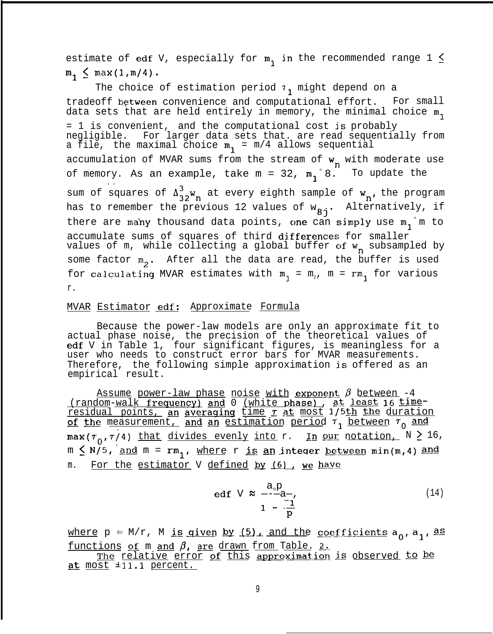estimate of edf V, especially for  $m_1$  in the recommended range 1  $\leq$  $m_1 \leq max(1,m/4)$ .

The choice of estimation period  $1$ <sup>1</sup> might depend on a tradeoff between convenience and computational effort. For small data sets that are held entirely in memory, the minimal choice  $m_1$ = 1 is convenient, and the computational cost is probably negligible. For larger data sets that. are read sequentially from a file, the maximal choice  $m_1 = m/4$  allows sequential accumulation of MVAR sums from the stream of  $w_n$  with moderate use of memory. As an example, take  $m = 32$ ,  $m_{1}$  $8$ . To update the . . sum of squares of  $\Lambda_{22}^2 w_n$  at every eighth sample of  $w_n$ , the program has to remember the previous 12 values of  $w_{8j}$ . Alternatively, if there are many thousand data points, one can simply use  $m_i$  m to accumulate sums of squares of third differences for smaller values of m, while collecting a global buffer of w<sub>r</sub> subsampled by some factor  $m_2$ . After all the data are read, the buffer is used for calculating MVAR estimates with  $m_1 = m_2$ ,  $m = rm_1$  for various r.

## <u>MVAR Estimator edf: Approximate Formula</u>

Because the power-law models are only an approximate fit to actual phase noise, the precision of the theoretical values of edf V in Table 1, four significant figures, is meaningless for a user who needs to construct error bars for MVAR measurements. Therefore, the following simple approximation is offered as an empirical result. actual phase noise, the precision of the theoretical values of<br>edf V in Table 1, four significant figures, is meaningless for<br>user who needs to construct error bars for MVAR measurements.<br>Therefore, the following simple a

<u>Assume power-law phase noise with  $\boldsymbol{\mathrm{exponent}}$   $\beta$  between -4  $\,$ </u>  $\frac{1}{\text{realual}}$  waik requestly and  $\sigma$  (while phase), as follows to similar residual points, an averaging time  $\tau$  at most 1/5th the duration of the measurement, and an estimation period  $\tau_1$  between  $\tau_0$  and  $\max(\tau_0, \tau/4)$  that divides evenly into r. In our notation,  $N \geq 16$ ,<br>m  $\leq N/5$ , and m = rm<sub>1</sub>, <u>where r is an integer between</u> min(m,4) and  $m \leq N/5$ , and  $m = rm_1$ , where r is an integer between min(m,4) and  $m$ . For the estimator V defined by (6), we have

edf 
$$
V \approx \frac{a_{0}p}{1 - \frac{m}{p}}
$$
 (14)

where  $p = M/r$ , M is given by (5), and the coefficients  $a_0$ ,  $a_1$ , as where  $p = M/r$ , M is given by (5), and the computer  $f$  and the computer  $\frac{f}{f}$  and  $\frac{f}{f}$ , are drawn from Table. 2. ions of m and  $\beta$ , are drawn from Table. 2.<br>The relative error of this approximation is observed to be

at most ±11.1 percent.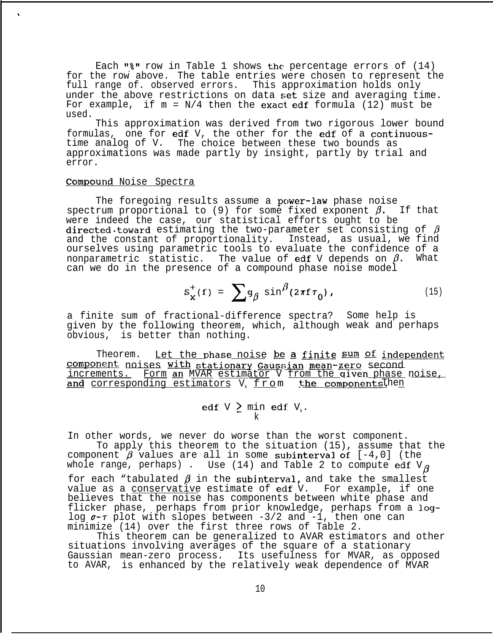Each " $*$ " row in Table 1 shows the percentage errors of  $(14)$ for the row above. The table entries were chosen to represent the full range of. observed errors. This approximation holds only under the above restrictions on data set size and averaging time. For example, if  $m = N/4$  then the exact edf formula (12) must be used.

This approximation was derived from two rigorous lower bound formulas, one for edf V, the other for the edf of a continuoustime analog of V. The choice between these two bounds as approximations was made partly by insight, partly by trial and error.

#### Compound Noise Spectra

 $\mathbf{r}$ 

The foregoing results assume a power-law phase noise spectrum proportional to (9) for some fixed exponent  $\beta$ . If that were indeed the case, our statistical efforts ought to be directed.toward estimating the two-parameter set consisting of  $\beta$ and the constant of proportionality. Instead, as usual, we find ourselves using parametric tools to evaluate the confidence of a nonparametric statistic. The value of edf V depends on  $\beta$ . What can we do in the presence of a compound phase noise model

$$
s_x^+(f) = \sum g_\beta \sin^\beta(2\pi f \tau_0), \qquad (15)
$$

a finite sum of fractional-difference spectra? given by the following theorem, which, although obvious, is better than nothing. Some help is weak and perhaps

Theorem. Let the phase noise be a finite  $sum$  of independent component noises with stationary Gaussian mean-zero second increments. Form an MVAR estimator V from the given phase noise, and corresponding estimators V<sub>k</sub> from the componentsThen

> edf V  $\geq$  min edf V<sub>k</sub>. k

In other words, we never do worse than the worst component. To apply this theorem to the situation (15), assume that the

component  $\vec{\theta}$  values are all in some subinterval of  $[-4,0]$  (the whole range, perhaps) . Use (14) and Table 2 to compute  $\operatorname{edf}$  V $\beta$ for each "tabulated  $\beta$  in the subinterval, and take the smallest value as a conservative estimate of edf V. For example, if one believes that the noise has components between white phase and flicker phase, perhaps from prior knowledge, perhaps from a loglog **a-r** plot with slopes between -3/2 and -1, then one can minimize (14) over the first three rows of Table 2.

This theorem can be generalized to AVAR estimators and other situations involving averages of the square of a stationary Gaussian mean-zero process. Its usefulness for MVAR, as opposed to AVAR, is enhanced by the relatively weak dependence of MVAR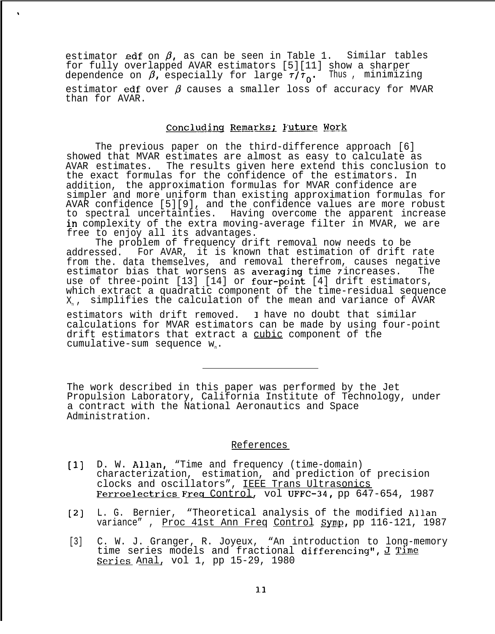estimator edf on  $\beta$ , as can be seen in Table 1. Similar tables for fully overlapped AVAR estimators [5][11] show a sharper dependence on  $\beta$ , especially for large  $\tau/\tau_0$ . Thus , minimizing estimator edf over  $\beta$  causes a smaller loss of accuracy for MVAR than for AVAR.

 $\pmb{\hat{\mathbf{v}}}$ 

## Concluding Remarks; Future Work

The previous paper on the third-difference approach [6] showed that MVAR estimates are almost as easy to calculate as AVAR estimates. The results given here extend this conclusion to the exact formulas for the confidence of the estimators. In addition, the approximation formulas for MVAR confidence are simpler and more uniform than existing approximation formulas for AVAR confidence [5][9], and the confidence values are more robust to spectral uncertainties. Having overcome the apparent increase in complexity of the extra moving-average filter in MVAR, we are free to enjoy all its advantages.

The problem of frequency drift removal now needs to be addressed. For AVAR, it is known that estimation of drift rate from the. data themselves, and removal therefrom, causes negative<br>estimator bias that worsens as averaging time zincreases. The estimator bias that worsens as averaging time *7* increases. use of three-point  $[13]$   $[14]$  or four-point  $[4]$  drift estimators, which extract a quadratic component of the time-residual sequence X<sub>1</sub>, simplifies the calculation of the mean and variance of AVAR

estimators with drift removed. 1 have no doubt that similar calculations for MVAR estimators can be made by using four-point drift estimators that extract a cubic component of the cumulative-sum sequence  $W_n$ .

The work described in this paper was performed by the Jet Propulsion Laboratory, California Institute of Technology, under a contract with the National Aeronautics and Space Administration.

## References

- $[1]$ D. W. Allan, "Time and frequency (time-domain) characterization, estimation, and prediction of precision clocks and oscillators", IEEE Trans Ultrasonics Ferroelectrics Freq Control, vol UFFC-34, pp 647-654, 1987
- [2) L. G. Bernier, "Theoretical analysis of the modified Allan variance", Proc 41st Ann Freq Control Symp, pp 116-121, 1987
- [3] C. W. J. Granger, R. Joyeux, "An introduction to long-memory The series of the series models and fractional differencing", J Time<br>Series Anal, yol 1, pp 15-29, 1980 Series Anal, vol 1, pp 15-29, 1980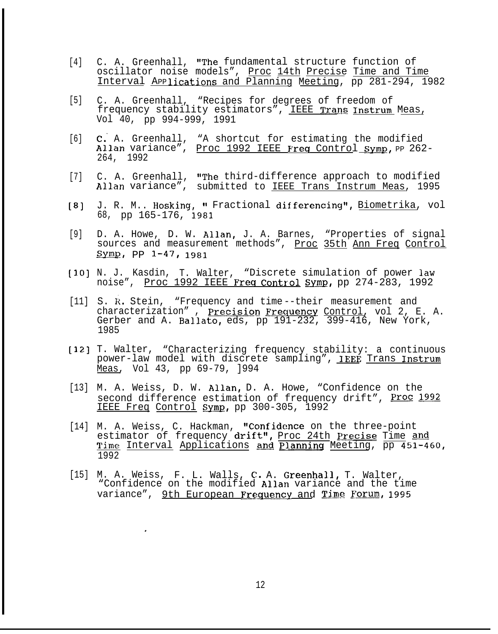- [4] C. A. Greenhall, "The fundamental structure function of oscillator noise models", Proc 14th Precise Time and Time Interval Applications and Planning Meeting, pp 281-294, 1982
- [5] C. A. Greenhall, "Recipes for degrees of freedom of frequency stability estimators", IEEE Trans Instrum Meas, Vol 40, pp 994-999, 1991
- [6] C: A. Greenhall, "A shortcut for estimating the modified Allan variance", Proc 1992 IEEE Freq Control Symp, PP 262-264, 1992
- [7] C. A. Greenhall, "The third-difference approach to modified Allan variance", submitted to IEEE Trans Instrum Meas, 1995
- [8] J. R. M.. Hosking, " Fractional differencing", <u>Biometrika</u>, vol 68, pp 165-176, 1981
- [9] D. A. Howe, D. W. Allan, J. A. Barnes, "Properties of signal sources and measurement methods", Proc 35th Ann Freq Control  $Symp, pp 1-47, 1981$
- **[3.0]** N. J. Kasdin, T. Walter, "Discrete simulation of power law noise", Proc 1992 IEEE Freq Control Symp, pp 274-283, 1992
- [11] S. R. Stein, "Frequency and time--their measurement and characterization", Precision Frequency Control, vol 2, E. A. Gerber and A. Ballato, eds, pp 191-232, 399-416, New York, 1985
- [12] T. Walter, "Characterizing frequency stability: a continuous power-law model with discrete sampling", IEEE Trans Instrum Meas, Vol 43, pp 69-79, ]994
- [13] M. A. Weiss, D. W. Allan, D. A. Howe, "Confidence on the second difference estimation of frequency drift", Proc 1992 IEEE Freq Control Symp, pp 300-305, 1992
- [14] M. A. Weiss, C. Hackman, "Confidence on the three-point<br>estimator of frequency drift", Proc 24th Precise Time and<br>mime Interval Applications and Planning Meeting pp. 451-4 M. A. Weiss, C. Hackman, Confidence on the three point<br>estimator of frequency drift", <u>Proc 24th Precise</u> Time and<br>Time Interval Applications and Planning Meeting, pp 451-460, 1992
- [15] M. A. Weiss, F. L. Walls, C. A. Greenhall, T. Walter, "Confidence on the modified Allan variance and the time variance", 9th European Frequency and Time Forum, 1995

.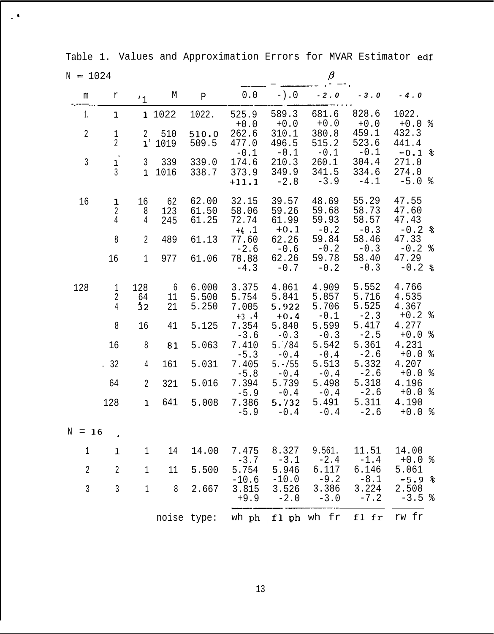Table 1. Values and Approximation Errors for MVAR Estimator edf

 $\mathcal{L}^{\mathbf{A}}$ 

| $N = 1024$     |                                       |                                |                  |                         |                                     |                                   | $\beta$                           |                                   |                                     |  |
|----------------|---------------------------------------|--------------------------------|------------------|-------------------------|-------------------------------------|-----------------------------------|-----------------------------------|-----------------------------------|-------------------------------------|--|
| m              | r                                     | $\mathbf{1}$                   | M                | $\, {\bf P}$            | $0.0$                               | $-$ ).0                           | $-2.0$                            | $-3.0$                            | $-4.0$                              |  |
| 1.             | 1                                     |                                | 1 1022           | 1022.                   | 525.9<br>$+0.0$                     | 589.3<br>$+0.0$                   | 681.6<br>$+0.0$                   | 828.6<br>$+0.0$                   | 1022.<br>$+0.0%$                    |  |
| $\overline{2}$ | $\,1$<br>$\overline{2}$               | $\overline{2}$<br>$1^{\circ}$  | 510<br>1019      | 510.0<br>509.5          | 262.6<br>477.0<br>$-0.1$            | 310.1<br>496.5<br>$-0.1$          | 380.8<br>515.2<br>$-0.1$          | 459.1<br>523.6<br>$-0.1$          | 432.3<br>441.4<br>$-0.1$ %          |  |
| $\mathfrak{Z}$ | $\,$<br>$\mathbf 1$<br>$\mathfrak{Z}$ | $\mathfrak{Z}$<br>$\mathbf{1}$ | 339<br>1016      | 339.0<br>338.7          | 174.6<br>373.9<br>$+11.1$           | 210.3<br>349.9<br>$-2.8$          | 260.1<br>341.5<br>$-3.9$          | 304.4<br>334.6<br>$-4.1$          | 271.0<br>274.0<br>$-5.0%$           |  |
| 16             | $\mathbf{1}$<br>$\overline{2}$<br>4   | 16<br>8<br>4                   | 62<br>123<br>245 | 62.00<br>61.50<br>61.25 | 32.15<br>58.06<br>72.74             | 39.57<br>59.26<br>61.99           | 48.69<br>59.68<br>59.93           | 55.29<br>58.73<br>58.57           | 47.55<br>47.60<br>47.43             |  |
|                | $\,8\,$                               | $\overline{2}$                 | 489              | 61.13                   | $+4$ .1<br>77.60<br>$-2.6$          | $+0.1$<br>62.26<br>$-0.6$         | $-0.2$<br>59.84<br>$-0.2$         | $-0.3$<br>58.46<br>$-0.3$         | $-0.2$ %<br>47.33<br>$-0.2$ %       |  |
|                | 16                                    | $\mathbf{1}$                   | 977              | 61.06                   | 78.88<br>$-4.3$                     | 62.26<br>$-0.7$                   | 59.78<br>$-0.2$                   | 58.40<br>$-0.3$                   | 47.29<br>$-0.2$ &                   |  |
| 128            | $\mathbf{1}$<br>$\overline{2}$<br>4   | 128<br>64<br>32                | 6<br>11<br>21    | 6.000<br>5.500<br>5.250 | 3.375<br>5.754<br>7.005<br>$+3$ . 4 | 4.061<br>5.841<br>5.922<br>$+0.4$ | 4.909<br>5.857<br>5.706<br>$-0.1$ | 5.552<br>5.716<br>5.525<br>$-2.3$ | 4.766<br>4.535<br>4.367<br>$+0.2$ % |  |
|                | 8                                     | 16                             | 41               | 5.125                   | 7.354<br>$-3.6$                     | 5.840<br>$-0.3$                   | 5.599<br>$-0.3$                   | 5.417<br>$-2.5$                   | 4.277<br>$+0.0%$                    |  |
|                | 16                                    | 8                              | 81               | 5.063                   | 7.410                               | 5.784<br>$-0.4$                   | 5.542<br>$-0.4$                   | 5.361<br>$-2.6$                   | 4.231<br>%<br>$+0.0$                |  |
|                | .32                                   | 4                              | 161              | 5.031                   | $-5.3$<br>7.405                     | $5. - 155$                        | 5.513                             | 5.332<br>$-2.6$                   | 4.207<br>ႜၟ<br>$+0.0$               |  |
|                | 64                                    | $\overline{2}$                 | 321              | 5.016                   | $-5.8$<br>7.394                     | $-0.4$<br>5.739                   | $-0.4$<br>5.498                   | 5.318<br>$-2.6$                   | 4.196<br>$+0.0%$                    |  |
|                | 128                                   | $\mathbf{1}$                   | 641              | 5.008                   | $-5.9$<br>7.386<br>$-5.9$           | $-0.4$<br>5.732<br>$-0.4$         | $-0.4$<br>5.491<br>$-0.4$         | 5.311<br>$-2.6$                   | 4.190<br>$+0.0%$                    |  |
| $N = 16$       |                                       |                                |                  |                         |                                     |                                   |                                   |                                   |                                     |  |
| 1              | $\mathbf{1}$                          | $\mathbf 1$                    | 14               | 14.00                   | 7.475<br>$-3.7$                     | 8.327<br>$-3.1$                   | 9.561.                            | 11.51<br>$-1.4$                   | 14.00<br>$+0.0$ %                   |  |
| $\overline{2}$ | $\overline{2}$                        | $\mathbf{1}$                   | 11               | 5.500                   | 5.754                               | 5.946                             | $-2.4$<br>6.117<br>$-9.2$         | 6.146<br>$-8.1$                   | 5.061<br>$-5.9%$                    |  |
| $\overline{3}$ | $\mathfrak{Z}$                        | $\mathbf{1}$                   | $8\,$            | 2.667                   | $-10.6$<br>3.815<br>$+9.9$          | $-10.0$<br>3.526<br>$-2.0$        | 3.386<br>$-3.0$                   | 3.224<br>$-7.2$                   | 2.508<br>$-3.5%$                    |  |
|                |                                       |                                | noise type:      |                         |                                     |                                   | wh ph fl ph wh fr fl fr           |                                   | rw fr                               |  |

13